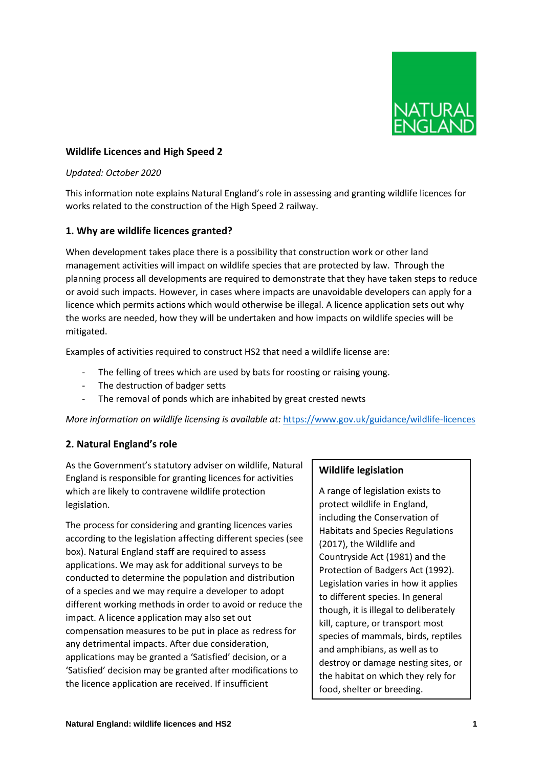

## **Wildlife Licences and High Speed 2**

#### *Updated: October 2020*

This information note explains Natural England's role in assessing and granting wildlife licences for works related to the construction of the High Speed 2 railway.

### **1. Why are wildlife licences granted?**

When development takes place there is a possibility that construction work or other land management activities will impact on wildlife species that are protected by law. Through the planning process all developments are required to demonstrate that they have taken steps to reduce or avoid such impacts. However, in cases where impacts are unavoidable developers can apply for a licence which permits actions which would otherwise be illegal. A licence application sets out why the works are needed, how they will be undertaken and how impacts on wildlife species will be mitigated.

Examples of activities required to construct HS2 that need a wildlife license are:

- The felling of trees which are used by bats for roosting or raising young.
- The destruction of badger setts
- The removal of ponds which are inhabited by great crested newts

*More information on wildlife licensing is available at:* <https://www.gov.uk/guidance/wildlife-licences>

### **2. Natural England's role**

As the Government's statutory adviser on wildlife, Natural England is responsible for granting licences for activities which are likely to contravene wildlife protection legislation.

The process for considering and granting licences varies according to the legislation affecting different species (see box). Natural England staff are required to assess applications. We may ask for additional surveys to be conducted to determine the population and distribution of a species and we may require a developer to adopt different working methods in order to avoid or reduce the impact. A licence application may also set out compensation measures to be put in place as redress for any detrimental impacts. After due consideration, applications may be granted a 'Satisfied' decision, or a 'Satisfied' decision may be granted after modifications to the licence application are received. If insufficient

# **Wildlife legislation**

A range of legislation exists to protect wildlife in England, including the Conservation of Habitats and Species Regulations (2017), the Wildlife and Countryside Act (1981) and the Protection of Badgers Act (1992). Legislation varies in how it applies to different species. In general though, it is illegal to deliberately kill, capture, or transport most species of mammals, birds, reptiles and amphibians, as well as to destroy or damage nesting sites, or the habitat on which they rely for food, shelter or breeding.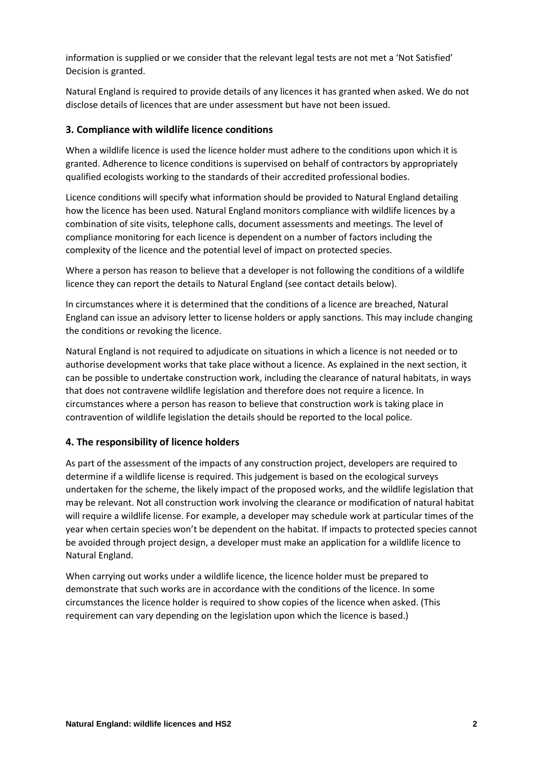information is supplied or we consider that the relevant legal tests are not met a 'Not Satisfied' Decision is granted.

Natural England is required to provide details of any licences it has granted when asked. We do not disclose details of licences that are under assessment but have not been issued.

## **3. Compliance with wildlife licence conditions**

When a wildlife licence is used the licence holder must adhere to the conditions upon which it is granted. Adherence to licence conditions is supervised on behalf of contractors by appropriately qualified ecologists working to the standards of their accredited professional bodies.

Licence conditions will specify what information should be provided to Natural England detailing how the licence has been used. Natural England monitors compliance with wildlife licences by a combination of site visits, telephone calls, document assessments and meetings. The level of compliance monitoring for each licence is dependent on a number of factors including the complexity of the licence and the potential level of impact on protected species.

Where a person has reason to believe that a developer is not following the conditions of a wildlife licence they can report the details to Natural England (see contact details below).

In circumstances where it is determined that the conditions of a licence are breached, Natural England can issue an advisory letter to license holders or apply sanctions. This may include changing the conditions or revoking the licence.

Natural England is not required to adjudicate on situations in which a licence is not needed or to authorise development works that take place without a licence. As explained in the next section, it can be possible to undertake construction work, including the clearance of natural habitats, in ways that does not contravene wildlife legislation and therefore does not require a licence. In circumstances where a person has reason to believe that construction work is taking place in contravention of wildlife legislation the details should be reported to the local police.

### **4. The responsibility of licence holders**

As part of the assessment of the impacts of any construction project, developers are required to determine if a wildlife license is required. This judgement is based on the ecological surveys undertaken for the scheme, the likely impact of the proposed works, and the wildlife legislation that may be relevant. Not all construction work involving the clearance or modification of natural habitat will require a wildlife license. For example, a developer may schedule work at particular times of the year when certain species won't be dependent on the habitat. If impacts to protected species cannot be avoided through project design, a developer must make an application for a wildlife licence to Natural England.

When carrying out works under a wildlife licence, the licence holder must be prepared to demonstrate that such works are in accordance with the conditions of the licence. In some circumstances the licence holder is required to show copies of the licence when asked. (This requirement can vary depending on the legislation upon which the licence is based.)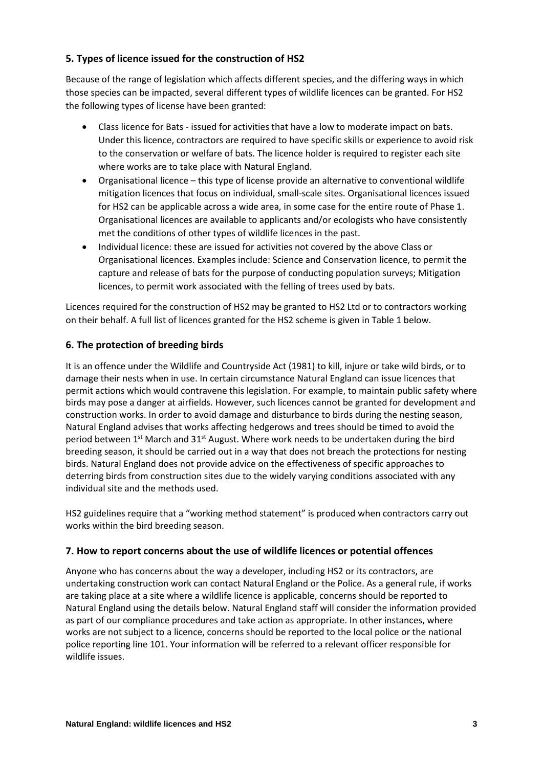# **5. Types of licence issued for the construction of HS2**

Because of the range of legislation which affects different species, and the differing ways in which those species can be impacted, several different types of wildlife licences can be granted. For HS2 the following types of license have been granted:

- Class licence for Bats issued for activities that have a low to moderate impact on bats. Under this licence, contractors are required to have specific skills or experience to avoid risk to the conservation or welfare of bats. The licence holder is required to register each site where works are to take place with Natural England.
- Organisational licence this type of license provide an alternative to conventional wildlife mitigation licences that focus on individual, small-scale sites. Organisational licences issued for HS2 can be applicable across a wide area, in some case for the entire route of Phase 1. Organisational licences are available to applicants and/or ecologists who have consistently met the conditions of other types of wildlife licences in the past.
- Individual licence: these are issued for activities not covered by the above Class or Organisational licences. Examples include: Science and Conservation licence, to permit the capture and release of bats for the purpose of conducting population surveys; Mitigation licences, to permit work associated with the felling of trees used by bats.

Licences required for the construction of HS2 may be granted to HS2 Ltd or to contractors working on their behalf. A full list of licences granted for the HS2 scheme is given in Table 1 below.

# **6. The protection of breeding birds**

It is an offence under the Wildlife and Countryside Act (1981) to kill, injure or take wild birds, or to damage their nests when in use. In certain circumstance Natural England can issue licences that permit actions which would contravene this legislation. For example, to maintain public safety where birds may pose a danger at airfields. However, such licences cannot be granted for development and construction works. In order to avoid damage and disturbance to birds during the nesting season, Natural England advises that works affecting hedgerows and trees should be timed to avoid the period between  $1<sup>st</sup>$  March and 31<sup>st</sup> August. Where work needs to be undertaken during the bird breeding season, it should be carried out in a way that does not breach the protections for nesting birds. Natural England does not provide advice on the effectiveness of specific approaches to deterring birds from construction sites due to the widely varying conditions associated with any individual site and the methods used.

HS2 guidelines require that a "working method statement" is produced when contractors carry out works within the bird breeding season.

### **7. How to report concerns about the use of wildlife licences or potential offences**

Anyone who has concerns about the way a developer, including HS2 or its contractors, are undertaking construction work can contact Natural England or the Police. As a general rule, if works are taking place at a site where a wildlife licence is applicable, concerns should be reported to Natural England using the details below. Natural England staff will consider the information provided as part of our compliance procedures and take action as appropriate. In other instances, where works are not subject to a licence, concerns should be reported to the local police or the national police reporting line 101. Your information will be referred to a relevant officer responsible for wildlife issues.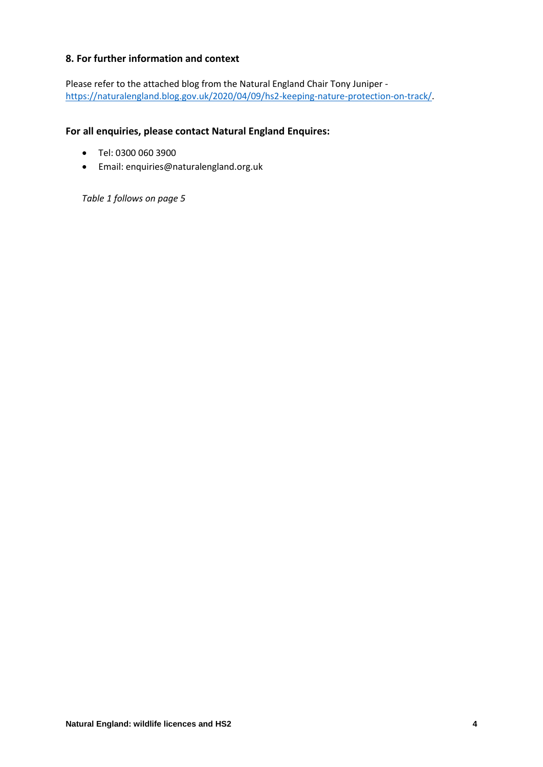## **8. For further information and context**

Please refer to the attached blog from the Natural England Chair Tony Juniper [https://naturalengland.blog.gov.uk/2020/04/09/hs2-keeping-nature-protection-on-track/.](https://naturalengland.blog.gov.uk/2020/04/09/hs2-keeping-nature-protection-on-track/)

### **For all enquiries, please contact Natural England Enquires:**

- Tel: 0300 060 3900
- Email: enquiries@naturalengland.org.uk

*Table 1 follows on page 5*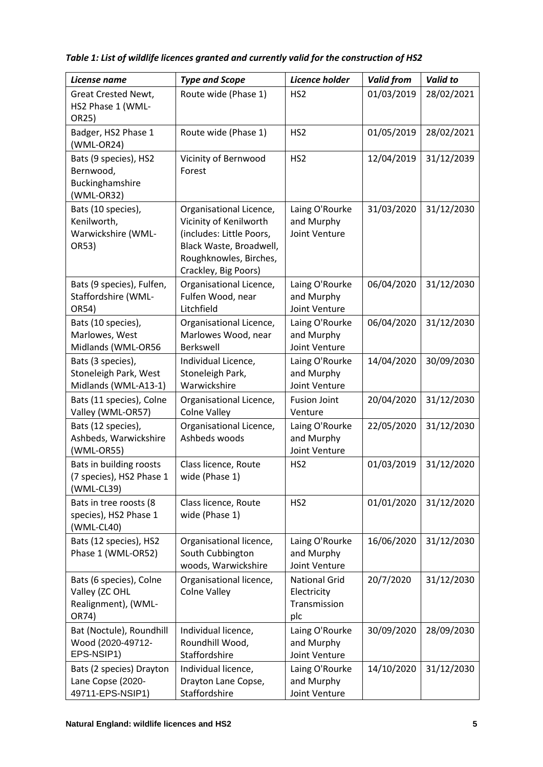| License name                                                              | <b>Type and Scope</b>                                                                                                                                      | Licence holder                                             | <b>Valid from</b> | <b>Valid to</b> |
|---------------------------------------------------------------------------|------------------------------------------------------------------------------------------------------------------------------------------------------------|------------------------------------------------------------|-------------------|-----------------|
| Great Crested Newt,<br>HS2 Phase 1 (WML-<br>OR25)                         | Route wide (Phase 1)                                                                                                                                       | HS <sub>2</sub>                                            | 01/03/2019        | 28/02/2021      |
| Badger, HS2 Phase 1<br>(WML-OR24)                                         | Route wide (Phase 1)                                                                                                                                       | HS <sub>2</sub>                                            | 01/05/2019        | 28/02/2021      |
| Bats (9 species), HS2<br>Bernwood,<br>Buckinghamshire<br>(WML-OR32)       | Vicinity of Bernwood<br>Forest                                                                                                                             | HS <sub>2</sub>                                            | 12/04/2019        | 31/12/2039      |
| Bats (10 species),<br>Kenilworth,<br>Warwickshire (WML-<br>OR53)          | Organisational Licence,<br>Vicinity of Kenilworth<br>(includes: Little Poors,<br>Black Waste, Broadwell,<br>Roughknowles, Birches,<br>Crackley, Big Poors) | Laing O'Rourke<br>and Murphy<br>Joint Venture              | 31/03/2020        | 31/12/2030      |
| Bats (9 species), Fulfen,<br>Staffordshire (WML-<br>OR54)                 | Organisational Licence,<br>Fulfen Wood, near<br>Litchfield                                                                                                 | Laing O'Rourke<br>and Murphy<br>Joint Venture              | 06/04/2020        | 31/12/2030      |
| Bats (10 species),<br>Marlowes, West<br>Midlands (WML-OR56                | Organisational Licence,<br>Marlowes Wood, near<br>Berkswell                                                                                                | Laing O'Rourke<br>and Murphy<br>Joint Venture              | 06/04/2020        | 31/12/2030      |
| Bats (3 species),<br>Stoneleigh Park, West<br>Midlands (WML-A13-1)        | Individual Licence,<br>Stoneleigh Park,<br>Warwickshire                                                                                                    | Laing O'Rourke<br>and Murphy<br>Joint Venture              | 14/04/2020        | 30/09/2030      |
| Bats (11 species), Colne<br>Valley (WML-OR57)                             | Organisational Licence,<br><b>Colne Valley</b>                                                                                                             | <b>Fusion Joint</b><br>Venture                             | 20/04/2020        | 31/12/2030      |
| Bats (12 species),<br>Ashbeds, Warwickshire<br>(WML-OR55)                 | Organisational Licence,<br>Ashbeds woods                                                                                                                   | Laing O'Rourke<br>and Murphy<br>Joint Venture              | 22/05/2020        | 31/12/2030      |
| Bats in building roosts<br>(7 species), HS2 Phase 1<br>(WML-CL39)         | Class licence, Route<br>wide (Phase 1)                                                                                                                     | HS <sub>2</sub>                                            | 01/03/2019        | 31/12/2020      |
| Bats in tree roosts (8<br>species), HS2 Phase 1<br>(WML-CL40)             | Class licence, Route<br>wide (Phase 1)                                                                                                                     | HS <sub>2</sub>                                            | 01/01/2020        | 31/12/2020      |
| Bats (12 species), HS2<br>Phase 1 (WML-OR52)                              | Organisational licence,<br>South Cubbington<br>woods, Warwickshire                                                                                         | Laing O'Rourke<br>and Murphy<br>Joint Venture              | 16/06/2020        | 31/12/2030      |
| Bats (6 species), Colne<br>Valley (ZC OHL<br>Realignment), (WML-<br>OR74) | Organisational licence,<br><b>Colne Valley</b>                                                                                                             | <b>National Grid</b><br>Electricity<br>Transmission<br>plc | 20/7/2020         | 31/12/2030      |
| Bat (Noctule), Roundhill<br>Wood (2020-49712-<br>EPS-NSIP1)               | Individual licence,<br>Roundhill Wood,<br>Staffordshire                                                                                                    | Laing O'Rourke<br>and Murphy<br>Joint Venture              | 30/09/2020        | 28/09/2030      |
| Bats (2 species) Drayton<br>Lane Copse (2020-<br>49711-EPS-NSIP1)         | Individual licence,<br>Drayton Lane Copse,<br>Staffordshire                                                                                                | Laing O'Rourke<br>and Murphy<br>Joint Venture              | 14/10/2020        | 31/12/2030      |

*Table 1: List of wildlife licences granted and currently valid for the construction of HS2*